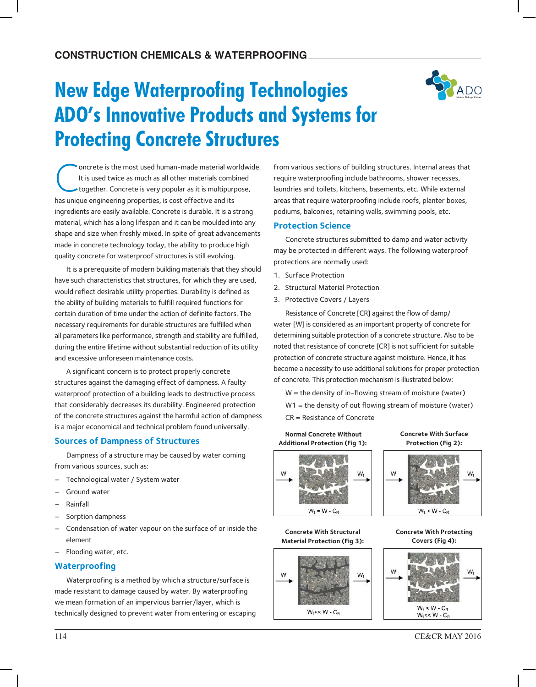# **New Edge Waterproofing Technologies ADO's Innovative Products and Systems for Protecting Concrete Structures**



C oncrete is the most used human-made material worldwide. It is used twice as much as all other materials combined together. Concrete is very popular as it is multipurpose, has unique engineering properties, is cost effective and its ingredients are easily available. Concrete is durable. It is a strong material, which has a long lifespan and it can be moulded into any shape and size when freshly mixed. In spite of great advancements made in concrete technology today, the ability to produce high quality concrete for waterproof structures is still evolving.

It is a prerequisite of modern building materials that they should have such characteristics that structures, for which they are used, would reflect desirable utility properties. Durability is defined as the ability of building materials to fulfill required functions for certain duration of time under the action of definite factors. The necessary requirements for durable structures are fulfilled when all parameters like performance, strength and stability are fulfilled, during the entire lifetime without substantial reduction of its utility and excessive unforeseen maintenance costs.

A significant concern is to protect properly concrete structures against the damaging effect of dampness. A faulty waterproof protection of a building leads to destructive process that considerably decreases its durability. Engineered protection of the concrete structures against the harmful action of dampness is a major economical and technical problem found universally.

## **Sources of Dampness of Structures**

Dampness of a structure may be caused by water coming from various sources, such as:

- Technological water / System water
- Ground water
- Rainfall
- Sorption dampness
- Condensation of water vapour on the surface of or inside the element
- Flooding water, etc.

## **Waterproofing**

Waterproofing is a method by which a structure/surface is made resistant to damage caused by water. By waterproofing we mean formation of an impervious barrier/layer, which is technically designed to prevent water from entering or escaping from various sections of building structures. Internal areas that require waterproofing include bathrooms, shower recesses, laundries and toilets, kitchens, basements, etc. While external areas that require waterproofing include roofs, planter boxes, podiums, balconies, retaining walls, swimming pools, etc.

#### **Protection Science**

Concrete structures submitted to damp and water activity may be protected in different ways. The following waterproof protections are normally used:

- 1. Surface Protection
- 2. Structural Material Protection
- 3. Protective Covers / Layers

Resistance of Concrete [CR] against the flow of damp/ water [W] is considered as an important property of concrete for determining suitable protection of a concrete structure. Also to be noted that resistance of concrete [CR] is not sufficient for suitable protection of concrete structure against moisture. Hence, it has become a necessity to use additional solutions for proper protection of concrete. This protection mechanism is illustrated below:

 $W =$  the density of in-flowing stream of moisture (water) W1 = the density of out flowing stream of moisture (water) CR = Resistance of Concrete